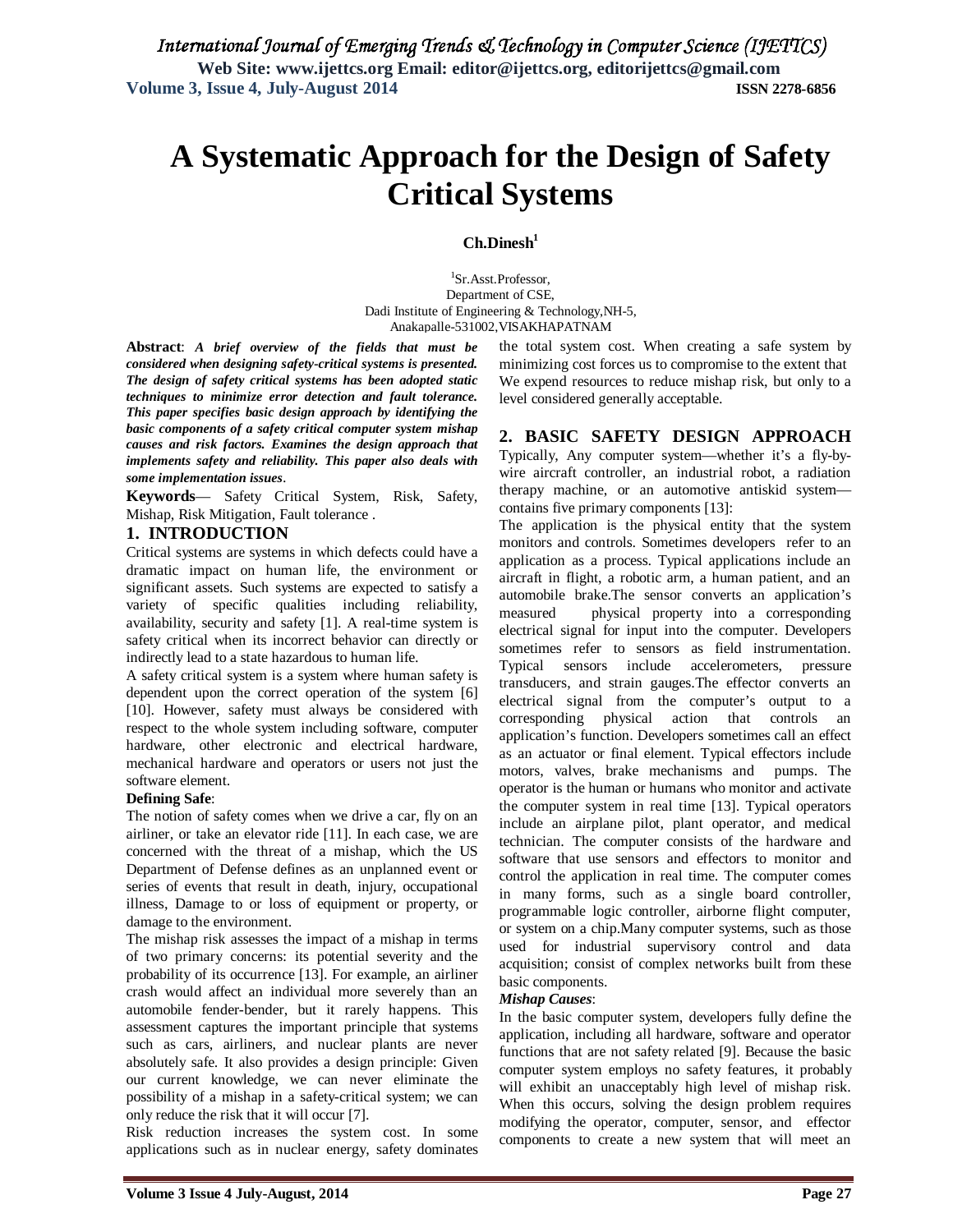# **A Systematic Approach for the Design of Safety Critical Systems**

### **Ch.Dinesh<sup>1</sup>**

1 Sr.Asst.Professor, Department of CSE, Dadi Institute of Engineering & Technology,NH-5, Anakapalle-531002,VISAKHAPATNAM

**Abstract**: *A brief overview of the fields that must be considered when designing safety-critical systems is presented. The design of safety critical systems has been adopted static techniques to minimize error detection and fault tolerance. This paper specifies basic design approach by identifying the basic components of a safety critical computer system mishap causes and risk factors. Examines the design approach that implements safety and reliability. This paper also deals with some implementation issues*.

**Keywords**— Safety Critical System, Risk, Safety, Mishap, Risk Mitigation, Fault tolerance .

### **1. INTRODUCTION**

Critical systems are systems in which defects could have a dramatic impact on human life, the environment or significant assets. Such systems are expected to satisfy a variety of specific qualities including reliability, availability, security and safety [1]. A real-time system is safety critical when its incorrect behavior can directly or indirectly lead to a state hazardous to human life.

A safety critical system is a system where human safety is dependent upon the correct operation of the system [6] [10]. However, safety must always be considered with respect to the whole system including software, computer hardware, other electronic and electrical hardware, mechanical hardware and operators or users not just the software element.

### **Defining Safe**:

The notion of safety comes when we drive a car, fly on an airliner, or take an elevator ride [11]. In each case, we are concerned with the threat of a mishap, which the US Department of Defense defines as an unplanned event or series of events that result in death, injury, occupational illness, Damage to or loss of equipment or property, or damage to the environment.

The mishap risk assesses the impact of a mishap in terms of two primary concerns: its potential severity and the probability of its occurrence [13]. For example, an airliner crash would affect an individual more severely than an automobile fender-bender, but it rarely happens. This assessment captures the important principle that systems such as cars, airliners, and nuclear plants are never absolutely safe. It also provides a design principle: Given our current knowledge, we can never eliminate the possibility of a mishap in a safety-critical system; we can only reduce the risk that it will occur [7].

Risk reduction increases the system cost. In some applications such as in nuclear energy, safety dominates the total system cost. When creating a safe system by minimizing cost forces us to compromise to the extent that We expend resources to reduce mishap risk, but only to a level considered generally acceptable.

### **2. BASIC SAFETY DESIGN APPROACH**

Typically, Any computer system—whether it's a fly-bywire aircraft controller, an industrial robot, a radiation therapy machine, or an automotive antiskid system contains five primary components [13]:

The application is the physical entity that the system monitors and controls. Sometimes developers refer to an application as a process. Typical applications include an aircraft in flight, a robotic arm, a human patient, and an automobile brake.The sensor converts an application's measured physical property into a corresponding electrical signal for input into the computer. Developers sometimes refer to sensors as field instrumentation. Typical sensors include accelerometers, pressure transducers, and strain gauges.The effector converts an electrical signal from the computer's output to a corresponding physical action that controls an application's function. Developers sometimes call an effect as an actuator or final element. Typical effectors include motors, valves, brake mechanisms and pumps. The operator is the human or humans who monitor and activate the computer system in real time [13]. Typical operators include an airplane pilot, plant operator, and medical technician. The computer consists of the hardware and software that use sensors and effectors to monitor and control the application in real time. The computer comes in many forms, such as a single board controller, programmable logic controller, airborne flight computer, or system on a chip.Many computer systems, such as those used for industrial supervisory control and data acquisition; consist of complex networks built from these basic components.

### *Mishap Causes*:

In the basic computer system, developers fully define the application, including all hardware, software and operator functions that are not safety related [9]. Because the basic computer system employs no safety features, it probably will exhibit an unacceptably high level of mishap risk. When this occurs, solving the design problem requires modifying the operator, computer, sensor, and effector components to create a new system that will meet an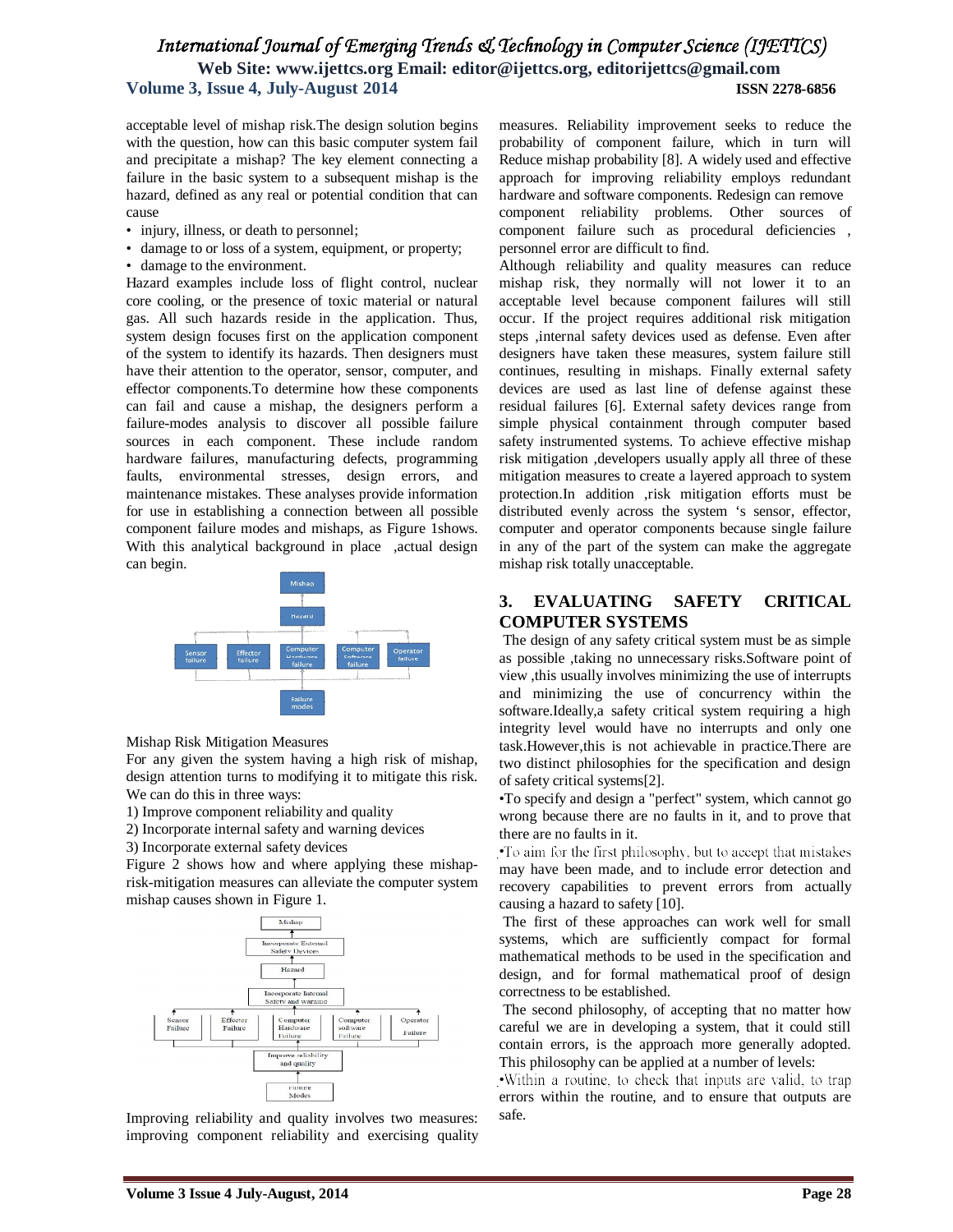acceptable level of mishap risk.The design solution begins with the question, how can this basic computer system fail and precipitate a mishap? The key element connecting a failure in the basic system to a subsequent mishap is the hazard, defined as any real or potential condition that can cause

- injury, illness, or death to personnel;
- damage to or loss of a system, equipment, or property;
- damage to the environment.

Hazard examples include loss of flight control, nuclear core cooling, or the presence of toxic material or natural gas. All such hazards reside in the application. Thus, system design focuses first on the application component of the system to identify its hazards. Then designers must have their attention to the operator, sensor, computer, and effector components.To determine how these components can fail and cause a mishap, the designers perform a failure-modes analysis to discover all possible failure sources in each component. These include random hardware failures, manufacturing defects, programming faults, environmental stresses, design errors, and maintenance mistakes. These analyses provide information for use in establishing a connection between all possible component failure modes and mishaps, as Figure 1shows. With this analytical background in place ,actual design can begin.



Mishap Risk Mitigation Measures

For any given the system having a high risk of mishap, design attention turns to modifying it to mitigate this risk. We can do this in three ways:

1) Improve component reliability and quality

2) Incorporate internal safety and warning devices

3) Incorporate external safety devices

Figure 2 shows how and where applying these mishaprisk-mitigation measures can alleviate the computer system mishap causes shown in Figure 1.



Improving reliability and quality involves two measures: improving component reliability and exercising quality measures. Reliability improvement seeks to reduce the probability of component failure, which in turn will Reduce mishap probability [8]. A widely used and effective approach for improving reliability employs redundant hardware and software components. Redesign can remove component reliability problems. Other sources of

component failure such as procedural deficiencies , personnel error are difficult to find.

Although reliability and quality measures can reduce mishap risk, they normally will not lower it to an acceptable level because component failures will still occur. If the project requires additional risk mitigation steps ,internal safety devices used as defense. Even after designers have taken these measures, system failure still continues, resulting in mishaps. Finally external safety devices are used as last line of defense against these residual failures [6]. External safety devices range from simple physical containment through computer based safety instrumented systems. To achieve effective mishap risk mitigation ,developers usually apply all three of these mitigation measures to create a layered approach to system protection.In addition ,risk mitigation efforts must be distributed evenly across the system 's sensor, effector, computer and operator components because single failure in any of the part of the system can make the aggregate mishap risk totally unacceptable.

## **3. EVALUATING SAFETY CRITICAL COMPUTER SYSTEMS**

The design of any safety critical system must be as simple as possible ,taking no unnecessary risks.Software point of view ,this usually involves minimizing the use of interrupts and minimizing the use of concurrency within the software.Ideally,a safety critical system requiring a high integrity level would have no interrupts and only one task.However,this is not achievable in practice.There are two distinct philosophies for the specification and design of safety critical systems[2].

•To specify and design a "perfect" system, which cannot go wrong because there are no faults in it, and to prove that there are no faults in it.

•To aim for the first philosophy, but to accept that mistakes may have been made, and to include error detection and recovery capabilities to prevent errors from actually causing a hazard to safety [10].

The first of these approaches can work well for small systems, which are sufficiently compact for formal mathematical methods to be used in the specification and design, and for formal mathematical proof of design correctness to be established.

The second philosophy, of accepting that no matter how careful we are in developing a system, that it could still contain errors, is the approach more generally adopted. This philosophy can be applied at a number of levels:

•Within a routine, to check that inputs are valid, to trap errors within the routine, and to ensure that outputs are safe.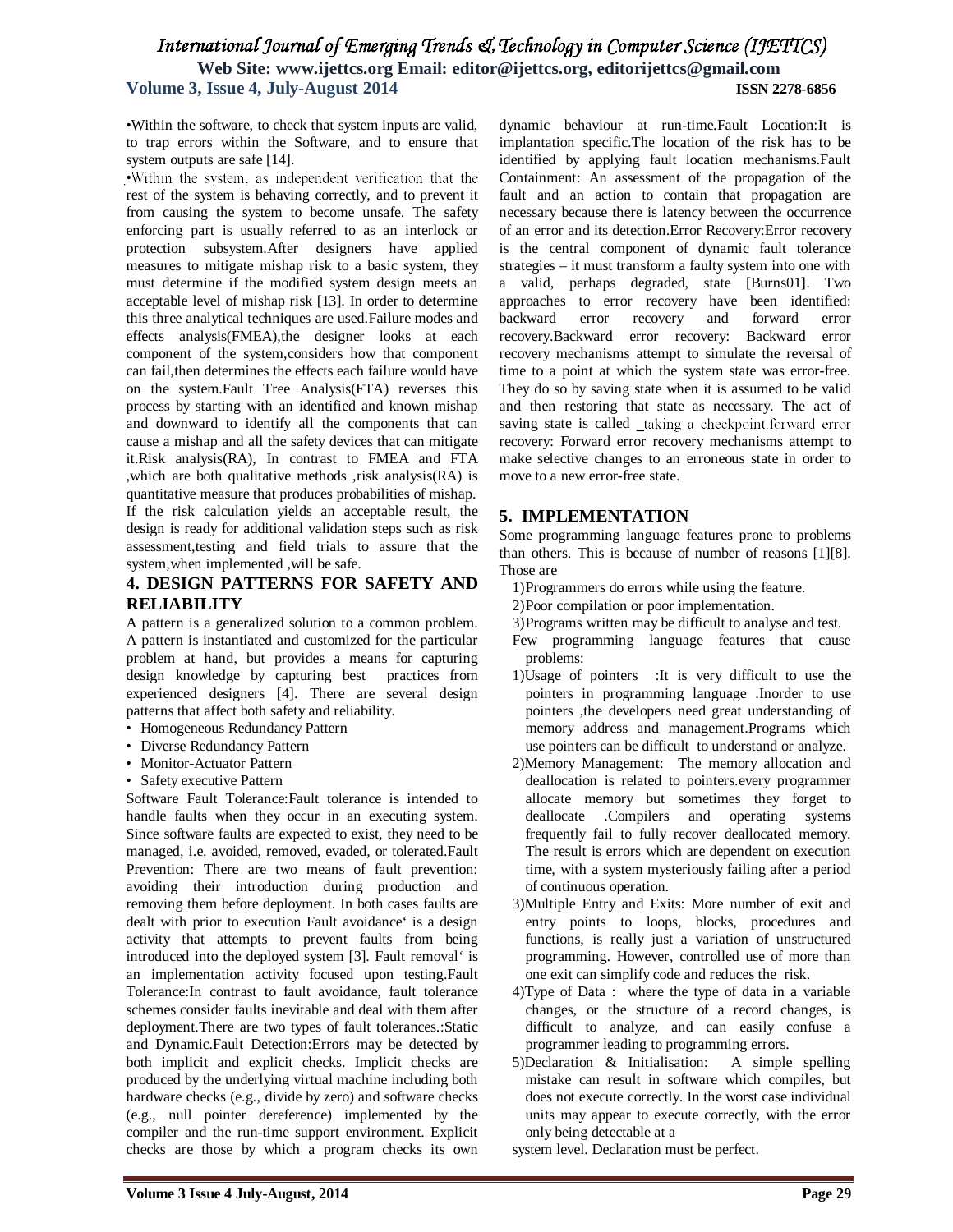•Within the software, to check that system inputs are valid, to trap errors within the Software, and to ensure that system outputs are safe [14].

·Within the system, as independent verification that the rest of the system is behaving correctly, and to prevent it from causing the system to become unsafe. The safety enforcing part is usually referred to as an interlock or protection subsystem.After designers have applied measures to mitigate mishap risk to a basic system, they must determine if the modified system design meets an acceptable level of mishap risk [13]. In order to determine this three analytical techniques are used.Failure modes and effects analysis(FMEA),the designer looks at each component of the system,considers how that component can fail,then determines the effects each failure would have on the system.Fault Tree Analysis(FTA) reverses this process by starting with an identified and known mishap and downward to identify all the components that can cause a mishap and all the safety devices that can mitigate it.Risk analysis(RA), In contrast to FMEA and FTA ,which are both qualitative methods ,risk analysis(RA) is quantitative measure that produces probabilities of mishap. If the risk calculation yields an acceptable result, the design is ready for additional validation steps such as risk assessment,testing and field trials to assure that the system,when implemented ,will be safe.

## **4. DESIGN PATTERNS FOR SAFETY AND RELIABILITY**

A pattern is a generalized solution to a common problem. A pattern is instantiated and customized for the particular problem at hand, but provides a means for capturing design knowledge by capturing best practices from experienced designers [4]. There are several design patterns that affect both safety and reliability.

- Homogeneous Redundancy Pattern
- Diverse Redundancy Pattern
- Monitor-Actuator Pattern
- Safety executive Pattern

Software Fault Tolerance:Fault tolerance is intended to handle faults when they occur in an executing system. Since software faults are expected to exist, they need to be managed, i.e. avoided, removed, evaded, or tolerated.Fault Prevention: There are two means of fault prevention: avoiding their introduction during production and removing them before deployment. In both cases faults are dealt with prior to execution Fault avoidance' is a design activity that attempts to prevent faults from being introduced into the deployed system [3]. Fault removal' is an implementation activity focused upon testing.Fault Tolerance:In contrast to fault avoidance, fault tolerance schemes consider faults inevitable and deal with them after deployment.There are two types of fault tolerances.:Static and Dynamic.Fault Detection:Errors may be detected by both implicit and explicit checks. Implicit checks are produced by the underlying virtual machine including both hardware checks (e.g., divide by zero) and software checks (e.g., null pointer dereference) implemented by the compiler and the run-time support environment. Explicit checks are those by which a program checks its own dynamic behaviour at run-time.Fault Location:It is implantation specific.The location of the risk has to be identified by applying fault location mechanisms.Fault Containment: An assessment of the propagation of the fault and an action to contain that propagation are necessary because there is latency between the occurrence of an error and its detection.Error Recovery:Error recovery is the central component of dynamic fault tolerance strategies – it must transform a faulty system into one with a valid, perhaps degraded, state [Burns01]. Two approaches to error recovery have been identified: backward error recovery and forward error recovery.Backward error recovery: Backward error recovery mechanisms attempt to simulate the reversal of time to a point at which the system state was error-free. They do so by saving state when it is assumed to be valid and then restoring that state as necessary. The act of saving state is called \_taking a checkpoint forward error recovery: Forward error recovery mechanisms attempt to make selective changes to an erroneous state in order to move to a new error-free state.

### **5. IMPLEMENTATION**

Some programming language features prone to problems than others. This is because of number of reasons [1][8]. Those are

- 1)Programmers do errors while using the feature.
- 2)Poor compilation or poor implementation.
- 3)Programs written may be difficult to analyse and test.
- Few programming language features that cause problems:
- 1)Usage of pointers :It is very difficult to use the pointers in programming language .Inorder to use pointers ,the developers need great understanding of memory address and management.Programs which use pointers can be difficult to understand or analyze.
- 2)Memory Management: The memory allocation and deallocation is related to pointers.every programmer allocate memory but sometimes they forget to deallocate .Compilers and operating systems frequently fail to fully recover deallocated memory. The result is errors which are dependent on execution time, with a system mysteriously failing after a period of continuous operation.
- 3)Multiple Entry and Exits: More number of exit and entry points to loops, blocks, procedures and functions, is really just a variation of unstructured programming. However, controlled use of more than one exit can simplify code and reduces the risk.
- 4)Type of Data : where the type of data in a variable changes, or the structure of a record changes, is difficult to analyze, and can easily confuse a programmer leading to programming errors.
- 5)Declaration & Initialisation: A simple spelling mistake can result in software which compiles, but does not execute correctly. In the worst case individual units may appear to execute correctly, with the error only being detectable at a

system level. Declaration must be perfect.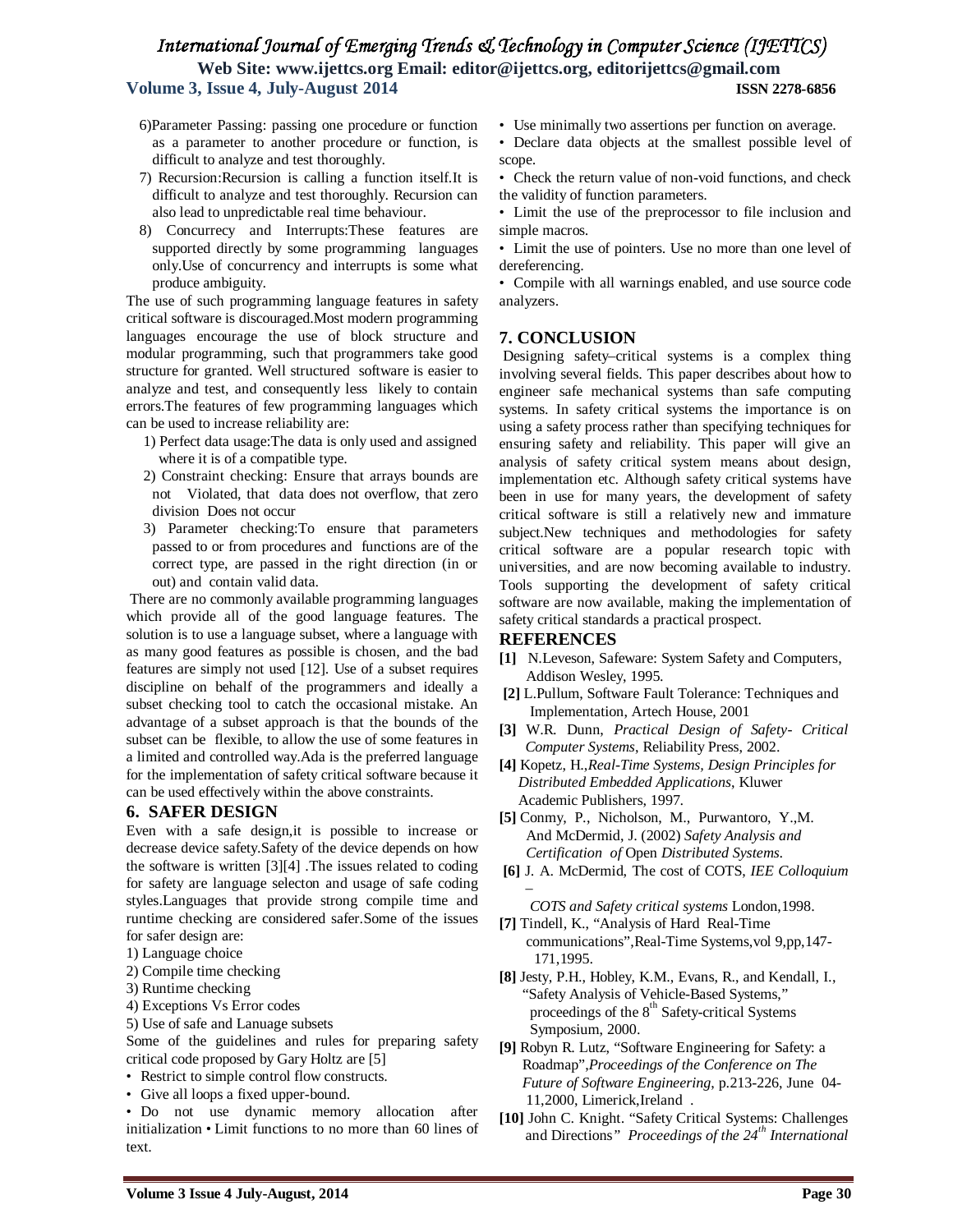- 6)Parameter Passing: passing one procedure or function as a parameter to another procedure or function, is difficult to analyze and test thoroughly.
- 7) Recursion:Recursion is calling a function itself.It is difficult to analyze and test thoroughly. Recursion can also lead to unpredictable real time behaviour.
- 8) Concurrecy and Interrupts:These features are supported directly by some programming languages only.Use of concurrency and interrupts is some what produce ambiguity.

The use of such programming language features in safety critical software is discouraged.Most modern programming languages encourage the use of block structure and modular programming, such that programmers take good structure for granted. Well structured software is easier to analyze and test, and consequently less likely to contain errors.The features of few programming languages which can be used to increase reliability are:

- 1) Perfect data usage:The data is only used and assigned where it is of a compatible type.
- 2) Constraint checking: Ensure that arrays bounds are not Violated, that data does not overflow, that zero division Does not occur
- 3) Parameter checking:To ensure that parameters passed to or from procedures and functions are of the correct type, are passed in the right direction (in or out) and contain valid data.

There are no commonly available programming languages which provide all of the good language features. The solution is to use a language subset, where a language with as many good features as possible is chosen, and the bad features are simply not used [12]. Use of a subset requires discipline on behalf of the programmers and ideally a subset checking tool to catch the occasional mistake. An advantage of a subset approach is that the bounds of the subset can be flexible, to allow the use of some features in a limited and controlled way.Ada is the preferred language for the implementation of safety critical software because it can be used effectively within the above constraints.

### **6. SAFER DESIGN**

Even with a safe design,it is possible to increase or decrease device safety.Safety of the device depends on how the software is written [3][4] .The issues related to coding for safety are language selecton and usage of safe coding styles.Languages that provide strong compile time and runtime checking are considered safer.Some of the issues for safer design are:

- 1) Language choice
- 2) Compile time checking
- 3) Runtime checking
- 4) Exceptions Vs Error codes
- 5) Use of safe and Lanuage subsets

Some of the guidelines and rules for preparing safety critical code proposed by Gary Holtz are [5]

- Restrict to simple control flow constructs.
- Give all loops a fixed upper-bound.

• Do not use dynamic memory allocation after initialization • Limit functions to no more than 60 lines of text.

- Use minimally two assertions per function on average.
- Declare data objects at the smallest possible level of scope.
- Check the return value of non-void functions, and check the validity of function parameters.
- Limit the use of the preprocessor to file inclusion and simple macros.
- Limit the use of pointers. Use no more than one level of dereferencing.
- Compile with all warnings enabled, and use source code analyzers.

### **7. CONCLUSION**

Designing safety–critical systems is a complex thing involving several fields. This paper describes about how to engineer safe mechanical systems than safe computing systems. In safety critical systems the importance is on using a safety process rather than specifying techniques for ensuring safety and reliability. This paper will give an analysis of safety critical system means about design, implementation etc. Although safety critical systems have been in use for many years, the development of safety critical software is still a relatively new and immature subject.New techniques and methodologies for safety critical software are a popular research topic with universities, and are now becoming available to industry. Tools supporting the development of safety critical software are now available, making the implementation of safety critical standards a practical prospect.

### **REFERENCES**

- **[1]** N.Leveson, Safeware: System Safety and Computers, Addison Wesley, 1995.
- **[2]** L.Pullum, Software Fault Tolerance: Techniques and Implementation, Artech House, 2001
- **[3]** W.R. Dunn, *Practical Design of Safety- Critical Computer Systems*, Reliability Press, 2002.
- **[4]** Kopetz, H.,*Real-Time Systems, Design Principles for Distributed Embedded Applications*, Kluwer Academic Publishers, 1997.
- **[5]** Conmy, P., Nicholson, M., Purwantoro, Y.,M. And McDermid, J. (2002) *Safety Analysis and Certification of* Open *Distributed Systems*.
- **[6]** J. A. McDermid, The cost of COTS, *IEE Colloquium –*
	- *COTS and Safety critical systems* London,1998.
- **[7]** Tindell, K., "Analysis of Hard Real-Time communications",Real-Time Systems,vol 9,pp,147- 171,1995.
- **[8]** Jesty, P.H., Hobley, K.M., Evans, R., and Kendall, I., "Safety Analysis of Vehicle-Based Systems," proceedings of the  $8<sup>th</sup>$  Safety-critical Systems Symposium, 2000.
- **[9]** Robyn R. Lutz, "Software Engineering for Safety: a Roadmap",*Proceedings of the Conference on The Future of Software Engineering*, p.213-226, June 04- 11,2000, Limerick,Ireland .
- **[10]** John C. Knight. "Safety Critical Systems: Challenges and Directions*" Proceedings of the 24th International*